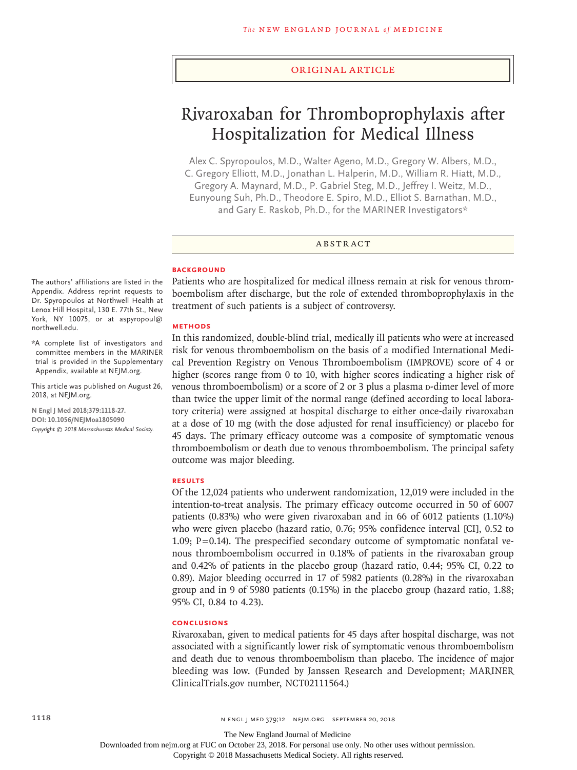#### Original Article

# Rivaroxaban for Thromboprophylaxis after Hospitalization for Medical Illness

Alex C. Spyropoulos, M.D., Walter Ageno, M.D., Gregory W. Albers, M.D., C. Gregory Elliott, M.D., Jonathan L. Halperin, M.D., William R. Hiatt, M.D., Gregory A. Maynard, M.D., P. Gabriel Steg, M.D., Jeffrey I. Weitz, M.D., Eunyoung Suh, Ph.D., Theodore E. Spiro, M.D., Elliot S. Barnathan, M.D., and Gary E. Raskob, Ph.D., for the MARINER Investigators\*

#### ABSTRACT

#### **BACKGROUND**

The authors' affiliations are listed in the Appendix. Address reprint requests to Dr. Spyropoulos at Northwell Health at Lenox Hill Hospital, 130 E. 77th St., New York, NY 10075, or at aspyropoul@ northwell.edu.

\*A complete list of investigators and committee members in the MARINER trial is provided in the Supplementary Appendix, available at NEJM.org.

This article was published on August 26, 2018, at NEJM.org.

**N Engl J Med 2018;379:1118-27. DOI: 10.1056/NEJMoa1805090** *Copyright © 2018 Massachusetts Medical Society.* Patients who are hospitalized for medical illness remain at risk for venous thromboembolism after discharge, but the role of extended thromboprophylaxis in the treatment of such patients is a subject of controversy.

#### **METHODS**

In this randomized, double-blind trial, medically ill patients who were at increased risk for venous thromboembolism on the basis of a modified International Medical Prevention Registry on Venous Thromboembolism (IMPROVE) score of 4 or higher (scores range from 0 to 10, with higher scores indicating a higher risk of venous thromboembolism) or a score of 2 or 3 plus a plasma  $\alpha$ -dimer level of more than twice the upper limit of the normal range (defined according to local laboratory criteria) were assigned at hospital discharge to either once-daily rivaroxaban at a dose of 10 mg (with the dose adjusted for renal insufficiency) or placebo for 45 days. The primary efficacy outcome was a composite of symptomatic venous thromboembolism or death due to venous thromboembolism. The principal safety outcome was major bleeding.

## **RESULTS**

Of the 12,024 patients who underwent randomization, 12,019 were included in the intention-to-treat analysis. The primary efficacy outcome occurred in 50 of 6007 patients (0.83%) who were given rivaroxaban and in 66 of 6012 patients (1.10%) who were given placebo (hazard ratio, 0.76; 95% confidence interval [CI], 0.52 to 1.09;  $P = 0.14$ ). The prespecified secondary outcome of symptomatic nonfatal venous thromboembolism occurred in 0.18% of patients in the rivaroxaban group and 0.42% of patients in the placebo group (hazard ratio, 0.44; 95% CI, 0.22 to 0.89). Major bleeding occurred in 17 of 5982 patients (0.28%) in the rivaroxaban group and in 9 of 5980 patients (0.15%) in the placebo group (hazard ratio, 1.88; 95% CI, 0.84 to 4.23).

#### **CONCLUSIONS**

Rivaroxaban, given to medical patients for 45 days after hospital discharge, was not associated with a significantly lower risk of symptomatic venous thromboembolism and death due to venous thromboembolism than placebo. The incidence of major bleeding was low. (Funded by Janssen Research and Development; MARINER ClinicalTrials.gov number, NCT02111564.)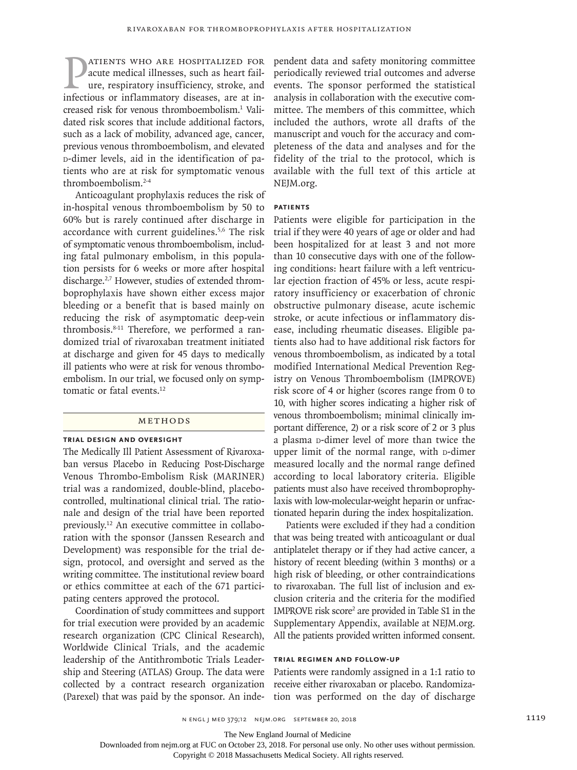**PATIENTS WHO ARE HOSPITALIZED FOR**<br>acute medical illnesses, such as heart fail-<br>ure, respiratory insufficiency, stroke, and<br>infectious or inflammatory diseases, are at inacute medical illnesses, such as heart failure, respiratory insufficiency, stroke, and infectious or inflammatory diseases, are at increased risk for venous thromboembolism.<sup>1</sup> Validated risk scores that include additional factors, such as a lack of mobility, advanced age, cancer, previous venous thromboembolism, and elevated d-dimer levels, aid in the identification of patients who are at risk for symptomatic venous thromboembolism.2-4

Anticoagulant prophylaxis reduces the risk of in-hospital venous thromboembolism by 50 to 60% but is rarely continued after discharge in accordance with current guidelines.5,6 The risk of symptomatic venous thromboembolism, including fatal pulmonary embolism, in this population persists for 6 weeks or more after hospital discharge.<sup>2,7</sup> However, studies of extended thromboprophylaxis have shown either excess major bleeding or a benefit that is based mainly on reducing the risk of asymptomatic deep-vein thrombosis.8-11 Therefore, we performed a randomized trial of rivaroxaban treatment initiated at discharge and given for 45 days to medically ill patients who were at risk for venous thromboembolism. In our trial, we focused only on symptomatic or fatal events.<sup>12</sup>

## Methods

## **Trial Design and Oversight**

The Medically Ill Patient Assessment of Rivaroxaban versus Placebo in Reducing Post-Discharge Venous Thrombo-Embolism Risk (MARINER) trial was a randomized, double-blind, placebocontrolled, multinational clinical trial. The rationale and design of the trial have been reported previously.12 An executive committee in collaboration with the sponsor (Janssen Research and Development) was responsible for the trial design, protocol, and oversight and served as the writing committee. The institutional review board or ethics committee at each of the 671 participating centers approved the protocol.

Coordination of study committees and support for trial execution were provided by an academic research organization (CPC Clinical Research), Worldwide Clinical Trials, and the academic leadership of the Antithrombotic Trials Leadership and Steering (ATLAS) Group. The data were collected by a contract research organization (Parexel) that was paid by the sponsor. An independent data and safety monitoring committee periodically reviewed trial outcomes and adverse events. The sponsor performed the statistical analysis in collaboration with the executive committee. The members of this committee, which included the authors, wrote all drafts of the manuscript and vouch for the accuracy and completeness of the data and analyses and for the fidelity of the trial to the protocol, which is available with the full text of this article at NEJM.org.

#### **Patients**

Patients were eligible for participation in the trial if they were 40 years of age or older and had been hospitalized for at least 3 and not more than 10 consecutive days with one of the following conditions: heart failure with a left ventricular ejection fraction of 45% or less, acute respiratory insufficiency or exacerbation of chronic obstructive pulmonary disease, acute ischemic stroke, or acute infectious or inflammatory disease, including rheumatic diseases. Eligible patients also had to have additional risk factors for venous thromboembolism, as indicated by a total modified International Medical Prevention Registry on Venous Thromboembolism (IMPROVE) risk score of 4 or higher (scores range from 0 to 10, with higher scores indicating a higher risk of venous thromboembolism; minimal clinically important difference, 2) or a risk score of 2 or 3 plus a plasma D-dimer level of more than twice the upper limit of the normal range, with p-dimer measured locally and the normal range defined according to local laboratory criteria. Eligible patients must also have received thromboprophylaxis with low-molecular-weight heparin or unfractionated heparin during the index hospitalization.

Patients were excluded if they had a condition that was being treated with anticoagulant or dual antiplatelet therapy or if they had active cancer, a history of recent bleeding (within 3 months) or a high risk of bleeding, or other contraindications to rivaroxaban. The full list of inclusion and exclusion criteria and the criteria for the modified IMPROVE risk score<sup>2</sup> are provided in Table S1 in the Supplementary Appendix, available at NEJM.org. All the patients provided written informed consent.

#### **Trial Regimen and Follow-up**

Patients were randomly assigned in a 1:1 ratio to receive either rivaroxaban or placebo. Randomization was performed on the day of discharge

The New England Journal of Medicine

Downloaded from nejm.org at FUC on October 23, 2018. For personal use only. No other uses without permission.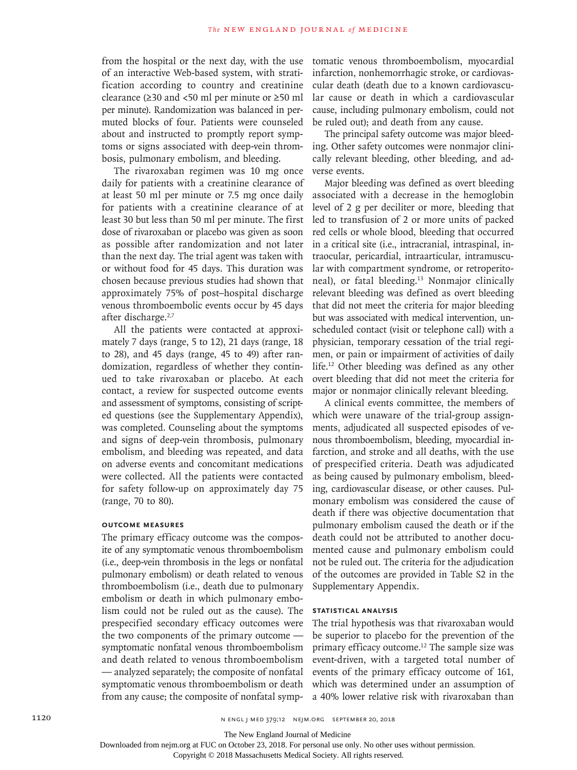from the hospital or the next day, with the use of an interactive Web-based system, with stratification according to country and creatinine clearance (≥30 and <50 ml per minute or ≥50 ml per minute). Randomization was balanced in permuted blocks of four. Patients were counseled about and instructed to promptly report symptoms or signs associated with deep-vein thrombosis, pulmonary embolism, and bleeding.

The rivaroxaban regimen was 10 mg once daily for patients with a creatinine clearance of at least 50 ml per minute or 7.5 mg once daily for patients with a creatinine clearance of at least 30 but less than 50 ml per minute. The first dose of rivaroxaban or placebo was given as soon as possible after randomization and not later than the next day. The trial agent was taken with or without food for 45 days. This duration was chosen because previous studies had shown that approximately 75% of post–hospital discharge venous thromboembolic events occur by 45 days after discharge.<sup>2,7</sup>

All the patients were contacted at approximately 7 days (range, 5 to 12), 21 days (range, 18 to 28), and 45 days (range, 45 to 49) after randomization, regardless of whether they continued to take rivaroxaban or placebo. At each contact, a review for suspected outcome events and assessment of symptoms, consisting of scripted questions (see the Supplementary Appendix), was completed. Counseling about the symptoms and signs of deep-vein thrombosis, pulmonary embolism, and bleeding was repeated, and data on adverse events and concomitant medications were collected. All the patients were contacted for safety follow-up on approximately day 75 (range, 70 to 80).

## **Outcome Measures**

The primary efficacy outcome was the composite of any symptomatic venous thromboembolism (i.e., deep-vein thrombosis in the legs or nonfatal pulmonary embolism) or death related to venous thromboembolism (i.e., death due to pulmonary embolism or death in which pulmonary embolism could not be ruled out as the cause). The prespecified secondary efficacy outcomes were the two components of the primary outcome symptomatic nonfatal venous thromboembolism and death related to venous thromboembolism — analyzed separately; the composite of nonfatal symptomatic venous thromboembolism or death from any cause; the composite of nonfatal symptomatic venous thromboembolism, myocardial infarction, nonhemorrhagic stroke, or cardiovascular death (death due to a known cardiovascular cause or death in which a cardiovascular cause, including pulmonary embolism, could not be ruled out); and death from any cause.

The principal safety outcome was major bleeding. Other safety outcomes were nonmajor clinically relevant bleeding, other bleeding, and adverse events.

Major bleeding was defined as overt bleeding associated with a decrease in the hemoglobin level of 2 g per deciliter or more, bleeding that led to transfusion of 2 or more units of packed red cells or whole blood, bleeding that occurred in a critical site (i.e., intracranial, intraspinal, intraocular, pericardial, intraarticular, intramuscular with compartment syndrome, or retroperitoneal), or fatal bleeding.13 Nonmajor clinically relevant bleeding was defined as overt bleeding that did not meet the criteria for major bleeding but was associated with medical intervention, unscheduled contact (visit or telephone call) with a physician, temporary cessation of the trial regimen, or pain or impairment of activities of daily life.12 Other bleeding was defined as any other overt bleeding that did not meet the criteria for major or nonmajor clinically relevant bleeding.

A clinical events committee, the members of which were unaware of the trial-group assignments, adjudicated all suspected episodes of venous thromboembolism, bleeding, myocardial infarction, and stroke and all deaths, with the use of prespecified criteria. Death was adjudicated as being caused by pulmonary embolism, bleeding, cardiovascular disease, or other causes. Pulmonary embolism was considered the cause of death if there was objective documentation that pulmonary embolism caused the death or if the death could not be attributed to another documented cause and pulmonary embolism could not be ruled out. The criteria for the adjudication of the outcomes are provided in Table S2 in the Supplementary Appendix.

## **Statistical Analysis**

The trial hypothesis was that rivaroxaban would be superior to placebo for the prevention of the primary efficacy outcome.<sup>12</sup> The sample size was event-driven, with a targeted total number of events of the primary efficacy outcome of 161, which was determined under an assumption of a 40% lower relative risk with rivaroxaban than

The New England Journal of Medicine

Downloaded from nejm.org at FUC on October 23, 2018. For personal use only. No other uses without permission.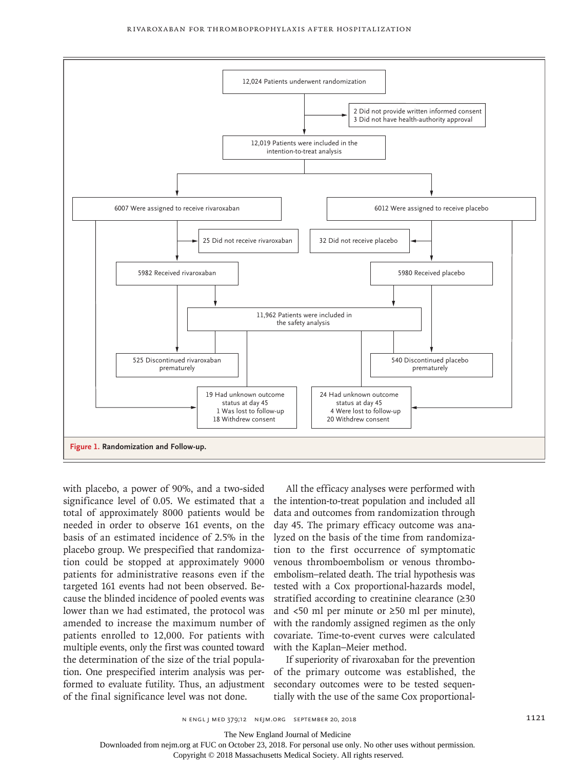

with placebo, a power of 90%, and a two-sided significance level of 0.05. We estimated that a total of approximately 8000 patients would be needed in order to observe 161 events, on the basis of an estimated incidence of 2.5% in the placebo group. We prespecified that randomization could be stopped at approximately 9000 patients for administrative reasons even if the targeted 161 events had not been observed. Because the blinded incidence of pooled events was lower than we had estimated, the protocol was amended to increase the maximum number of patients enrolled to 12,000. For patients with multiple events, only the first was counted toward the determination of the size of the trial population. One prespecified interim analysis was performed to evaluate futility. Thus, an adjustment of the final significance level was not done.

All the efficacy analyses were performed with the intention-to-treat population and included all data and outcomes from randomization through day 45. The primary efficacy outcome was analyzed on the basis of the time from randomization to the first occurrence of symptomatic venous thromboembolism or venous thromboembolism–related death. The trial hypothesis was tested with a Cox proportional-hazards model, stratified according to creatinine clearance (≥30 and <50 ml per minute or ≥50 ml per minute), with the randomly assigned regimen as the only covariate. Time-to-event curves were calculated with the Kaplan–Meier method.

If superiority of rivaroxaban for the prevention of the primary outcome was established, the secondary outcomes were to be tested sequentially with the use of the same Cox proportional-

The New England Journal of Medicine

Downloaded from nejm.org at FUC on October 23, 2018. For personal use only. No other uses without permission.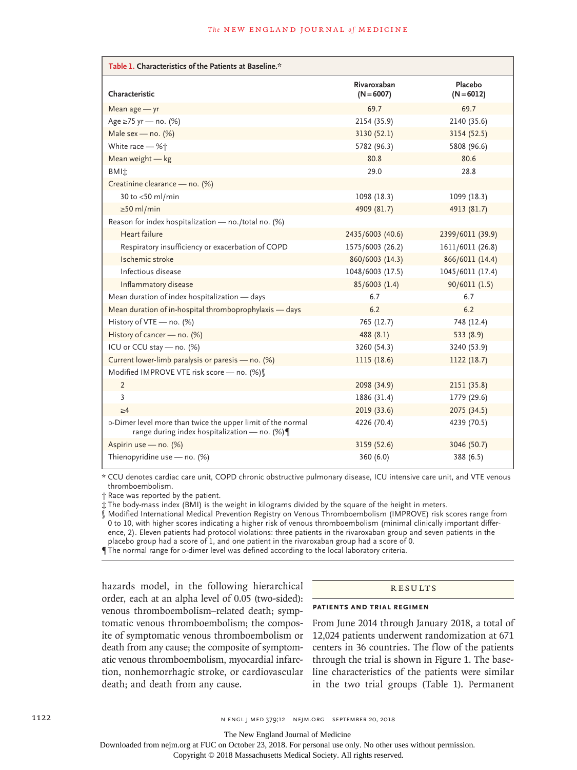| Table 1. Characteristics of the Patients at Baseline.*                                                           |                             |                         |  |  |
|------------------------------------------------------------------------------------------------------------------|-----------------------------|-------------------------|--|--|
| Characteristic                                                                                                   | Rivaroxaban<br>$(N = 6007)$ | Placebo<br>$(N = 6012)$ |  |  |
| Mean age - yr                                                                                                    | 69.7                        | 69.7                    |  |  |
| Age ≥75 yr - no. (%)                                                                                             | 2154 (35.9)                 | 2140 (35.6)             |  |  |
| Male sex - no. $(%)$                                                                                             | 3130 (52.1)<br>3154 (52.5)  |                         |  |  |
| White race - %†                                                                                                  | 5782 (96.3)<br>5808 (96.6)  |                         |  |  |
| Mean weight - kg                                                                                                 | 80.8<br>80.6                |                         |  |  |
| <b>BMI</b> 加                                                                                                     | 29.0<br>28.8                |                         |  |  |
| Creatinine clearance - no. (%)                                                                                   |                             |                         |  |  |
| 30 to $<$ 50 ml/min                                                                                              | 1098 (18.3)                 | 1099 (18.3)             |  |  |
| $\geq$ 50 ml/min                                                                                                 | 4909 (81.7)<br>4913 (81.7)  |                         |  |  |
| Reason for index hospitalization - no./total no. (%)                                                             |                             |                         |  |  |
| Heart failure                                                                                                    | 2435/6003 (40.6)            | 2399/6011 (39.9)        |  |  |
| Respiratory insufficiency or exacerbation of COPD                                                                | 1575/6003 (26.2)            | 1611/6011 (26.8)        |  |  |
| Ischemic stroke                                                                                                  | 860/6003 (14.3)             | 866/6011 (14.4)         |  |  |
| Infectious disease                                                                                               | 1048/6003 (17.5)            | 1045/6011 (17.4)        |  |  |
| Inflammatory disease                                                                                             | 85/6003 (1.4)               | 90/6011(1.5)            |  |  |
| Mean duration of index hospitalization - days                                                                    | 6.7<br>6.7                  |                         |  |  |
| Mean duration of in-hospital thromboprophylaxis - days                                                           | 6.2<br>6.2                  |                         |  |  |
| History of VTE - no. (%)                                                                                         | 765 (12.7)<br>748 (12.4)    |                         |  |  |
| History of cancer - no. (%)                                                                                      | 488(8.1)                    | 533(8.9)                |  |  |
| ICU or CCU stay - no. (%)                                                                                        | 3260 (54.3)<br>3240 (53.9)  |                         |  |  |
| Current lower-limb paralysis or paresis - no. (%)                                                                | 1115 (18.6)<br>1122 (18.7)  |                         |  |  |
| Modified IMPROVE VTE risk score - no. (%)                                                                        |                             |                         |  |  |
| 2                                                                                                                | 2098 (34.9)                 | 2151 (35.8)             |  |  |
| 3                                                                                                                | 1886 (31.4)                 | 1779 (29.6)             |  |  |
| >4                                                                                                               | 2019 (33.6)                 | 2075 (34.5)             |  |  |
| D-Dimer level more than twice the upper limit of the normal<br>range during index hospitalization - no. (%) $\P$ | 4226 (70.4)                 | 4239 (70.5)             |  |  |
| Aspirin use - no. (%)                                                                                            | 3159 (52.6)                 | 3046 (50.7)             |  |  |
| Thienopyridine use $-$ no. (%)                                                                                   | 360 (6.0)                   | 388 (6.5)               |  |  |

\* CCU denotes cardiac care unit, COPD chronic obstructive pulmonary disease, ICU intensive care unit, and VTE venous thromboembolism.

† Race was reported by the patient.

‡ The body-mass index (BMI) is the weight in kilograms divided by the square of the height in meters.

§ Modified International Medical Prevention Registry on Venous Thromboembolism (IMPROVE) risk scores range from 0 to 10, with higher scores indicating a higher risk of venous thromboembolism (minimal clinically important difference, 2). Eleven patients had protocol violations: three patients in the rivaroxaban group and seven patients in the placebo group had a score of 1, and one patient in the rivaroxaban group had a score of 0.

The normal range for p-dimer level was defined according to the local laboratory criteria.

hazards model, in the following hierarchical order, each at an alpha level of 0.05 (two-sided): venous thromboembolism–related death; symptomatic venous thromboembolism; the composite of symptomatic venous thromboembolism or death from any cause; the composite of symptomatic venous thromboembolism, myocardial infarction, nonhemorrhagic stroke, or cardiovascular death; and death from any cause.

#### Results

## **Patients and Trial Regimen**

From June 2014 through January 2018, a total of 12,024 patients underwent randomization at 671 centers in 36 countries. The flow of the patients through the trial is shown in Figure 1. The baseline characteristics of the patients were similar in the two trial groups (Table 1). Permanent

The New England Journal of Medicine

Downloaded from nejm.org at FUC on October 23, 2018. For personal use only. No other uses without permission.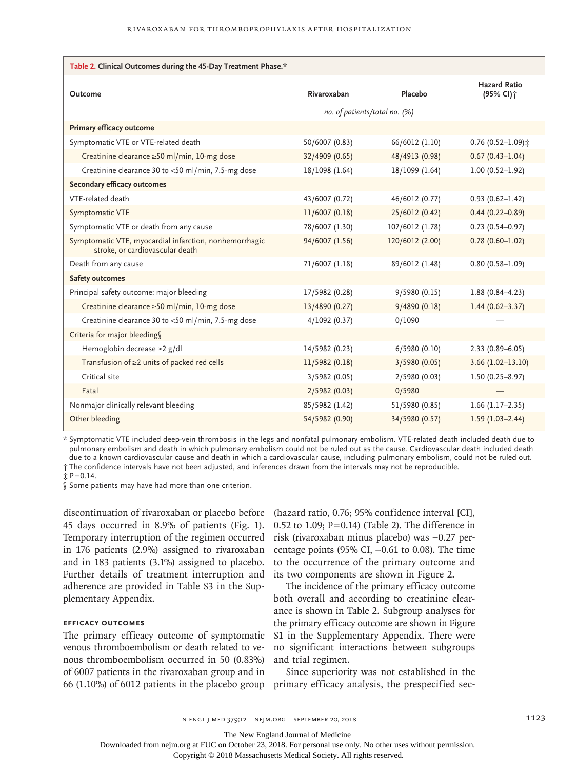| Table 2. Clinical Outcomes during the 45-Day Treatment Phase.*                            |                               |                 |                                              |
|-------------------------------------------------------------------------------------------|-------------------------------|-----------------|----------------------------------------------|
| Outcome                                                                                   | Rivaroxaban                   | Placebo         | <b>Hazard Ratio</b><br>(95% CI) <sup>+</sup> |
|                                                                                           | no. of patients/total no. (%) |                 |                                              |
| Primary efficacy outcome                                                                  |                               |                 |                                              |
| Symptomatic VTE or VTE-related death                                                      | 50/6007 (0.83)                | 66/6012 (1.10)  | $0.76$ (0.52-1.09) $\pm$                     |
| Creatinine clearance ≥50 ml/min, 10-mg dose                                               | 32/4909 (0.65)                | 48/4913 (0.98)  | $0.67(0.43 - 1.04)$                          |
| Creatinine clearance 30 to <50 ml/min, 7.5-mg dose                                        | 18/1098 (1.64)                | 18/1099 (1.64)  | $1.00(0.52 - 1.92)$                          |
| Secondary efficacy outcomes                                                               |                               |                 |                                              |
| VTE-related death                                                                         | 43/6007 (0.72)                | 46/6012 (0.77)  | $0.93(0.62 - 1.42)$                          |
| Symptomatic VTE                                                                           | 11/6007 (0.18)                | 25/6012 (0.42)  | $0.44(0.22 - 0.89)$                          |
| Symptomatic VTE or death from any cause                                                   | 78/6007 (1.30)                | 107/6012 (1.78) | $0.73$ (0.54-0.97)                           |
| Symptomatic VTE, myocardial infarction, nonhemorrhagic<br>stroke, or cardiovascular death | 94/6007 (1.56)                | 120/6012 (2.00) | $0.78(0.60 - 1.02)$                          |
| Death from any cause                                                                      | 71/6007 (1.18)                | 89/6012 (1.48)  | $0.80(0.58 - 1.09)$                          |
| <b>Safety outcomes</b>                                                                    |                               |                 |                                              |
| Principal safety outcome: major bleeding                                                  | 17/5982 (0.28)                | 9/5980 (0.15)   | $1.88(0.84 - 4.23)$                          |
| Creatinine clearance ≥50 ml/min, 10-mg dose                                               | 13/4890 (0.27)                | 9/4890 (0.18)   | $1.44(0.62 - 3.37)$                          |
| Creatinine clearance 30 to <50 ml/min, 7.5-mg dose                                        | 4/1092(0.37)                  | 0/1090          |                                              |
| Criteria for major bleeding                                                               |                               |                 |                                              |
| Hemoglobin decrease ≥2 g/dl                                                               | 14/5982 (0.23)                | 6/5980 (0.10)   | $2.33(0.89 - 6.05)$                          |
| Transfusion of $\geq$ 2 units of packed red cells                                         | 11/5982 (0.18)                | 3/5980 (0.05)   | $3.66$ (1.02-13.10)                          |
| Critical site                                                                             | 3/5982 (0.05)                 | 2/5980 (0.03)   | $1.50(0.25 - 8.97)$                          |
| Fatal                                                                                     | 2/5982 (0.03)                 | 0/5980          |                                              |
| Nonmajor clinically relevant bleeding                                                     | 85/5982 (1.42)                | 51/5980 (0.85)  | $1.66$ (1.17-2.35)                           |
| Other bleeding                                                                            | 54/5982 (0.90)                | 34/5980 (0.57)  | $1.59(1.03 - 2.44)$                          |

\* Symptomatic VTE included deep-vein thrombosis in the legs and nonfatal pulmonary embolism. VTE-related death included death due to pulmonary embolism and death in which pulmonary embolism could not be ruled out as the cause. Cardiovascular death included death due to a known cardiovascular cause and death in which a cardiovascular cause, including pulmonary embolism, could not be ruled out. † The confidence intervals have not been adjusted, and inferences drawn from the intervals may not be reproducible.

 $\uparrow$  P=0.14.

§ Some patients may have had more than one criterion.

discontinuation of rivaroxaban or placebo before 45 days occurred in 8.9% of patients (Fig. 1). Temporary interruption of the regimen occurred in 176 patients (2.9%) assigned to rivaroxaban and in 183 patients (3.1%) assigned to placebo. Further details of treatment interruption and adherence are provided in Table S3 in the Supplementary Appendix.

## **Efficacy Outcomes**

The primary efficacy outcome of symptomatic venous thromboembolism or death related to venous thromboembolism occurred in 50 (0.83%) of 6007 patients in the rivaroxaban group and in 66 (1.10%) of 6012 patients in the placebo group primary efficacy analysis, the prespecified sec-

(hazard ratio, 0.76; 95% confidence interval [CI], 0.52 to 1.09;  $P = 0.14$ ) (Table 2). The difference in risk (rivaroxaban minus placebo) was −0.27 percentage points (95% CI,  $-0.61$  to 0.08). The time to the occurrence of the primary outcome and its two components are shown in Figure 2.

The incidence of the primary efficacy outcome both overall and according to creatinine clearance is shown in Table 2. Subgroup analyses for the primary efficacy outcome are shown in Figure S1 in the Supplementary Appendix. There were no significant interactions between subgroups and trial regimen.

Since superiority was not established in the

The New England Journal of Medicine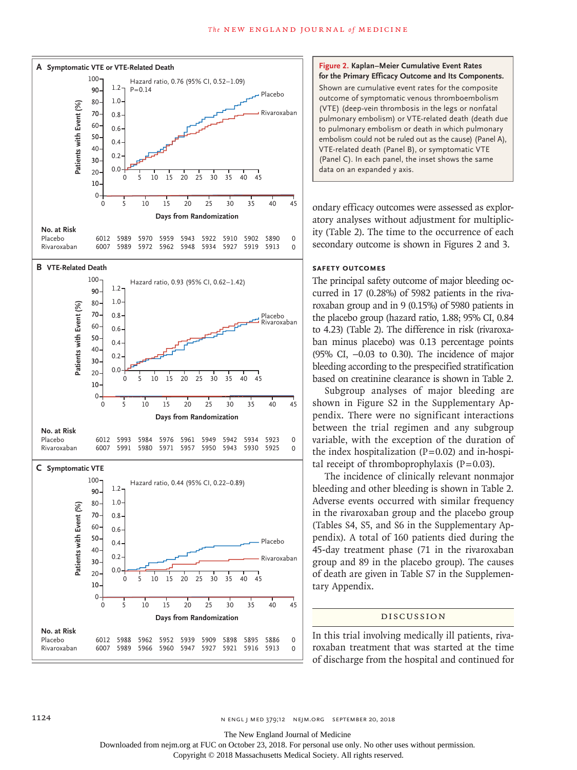

#### **Figure 2. Kaplan–Meier Cumulative Event Rates for the Primary Efficacy Outcome and Its Components.**

Shown are cumulative event rates for the composite outcome of symptomatic venous thromboembolism (VTE) (deep-vein thrombosis in the legs or nonfatal pulmonary embolism) or VTE-related death (death due to pulmonary embolism or death in which pulmonary embolism could not be ruled out as the cause) (Panel A), VTE-related death (Panel B), or symptomatic VTE (Panel C). In each panel, the inset shows the same data on an expanded y axis.

ondary efficacy outcomes were assessed as exploratory analyses without adjustment for multiplicity (Table 2). The time to the occurrence of each secondary outcome is shown in Figures 2 and 3.

#### **Safety Outcomes**

The principal safety outcome of major bleeding occurred in 17 (0.28%) of 5982 patients in the rivaroxaban group and in 9 (0.15%) of 5980 patients in the placebo group (hazard ratio, 1.88; 95% CI, 0.84 to 4.23) (Table 2). The difference in risk (rivaroxaban minus placebo) was 0.13 percentage points (95% CI, −0.03 to 0.30). The incidence of major bleeding according to the prespecified stratification based on creatinine clearance is shown in Table 2.

Subgroup analyses of major bleeding are shown in Figure S2 in the Supplementary Appendix. There were no significant interactions between the trial regimen and any subgroup variable, with the exception of the duration of the index hospitalization  $(P=0.02)$  and in-hospital receipt of thromboprophylaxis  $(P=0.03)$ .

The incidence of clinically relevant nonmajor bleeding and other bleeding is shown in Table 2. Adverse events occurred with similar frequency in the rivaroxaban group and the placebo group (Tables S4, S5, and S6 in the Supplementary Appendix). A total of 160 patients died during the 45-day treatment phase (71 in the rivaroxaban group and 89 in the placebo group). The causes of death are given in Table S7 in the Supplementary Appendix.

#### Discussion

In this trial involving medically ill patients, rivaroxaban treatment that was started at the time of discharge from the hospital and continued for

The New England Journal of Medicine

Downloaded from nejm.org at FUC on October 23, 2018. For personal use only. No other uses without permission.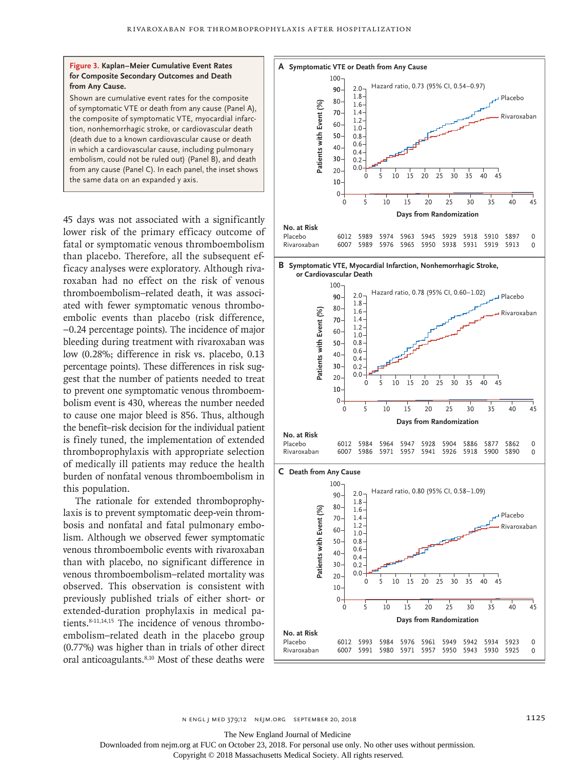

Shown are cumulative event rates for the composite of symptomatic VTE or death from any cause (Panel A), the composite of symptomatic VTE, myocardial infarction, nonhemorrhagic stroke, or cardiovascular death (death due to a known cardiovascular cause or death in which a cardiovascular cause, including pulmonary embolism, could not be ruled out) (Panel B), and death from any cause (Panel C). In each panel, the inset shows the same data on an expanded y axis.

45 days was not associated with a significantly lower risk of the primary efficacy outcome of fatal or symptomatic venous thromboembolism than placebo. Therefore, all the subsequent efficacy analyses were exploratory. Although rivaroxaban had no effect on the risk of venous thromboembolism–related death, it was associated with fewer symptomatic venous thromboembolic events than placebo (risk difference, −0.24 percentage points). The incidence of major bleeding during treatment with rivaroxaban was low (0.28%; difference in risk vs. placebo, 0.13 percentage points). These differences in risk suggest that the number of patients needed to treat to prevent one symptomatic venous thromboembolism event is 430, whereas the number needed to cause one major bleed is 856. Thus, although the benefit–risk decision for the individual patient is finely tuned, the implementation of extended thromboprophylaxis with appropriate selection of medically ill patients may reduce the health burden of nonfatal venous thromboembolism in this population.

The rationale for extended thromboprophylaxis is to prevent symptomatic deep-vein thrombosis and nonfatal and fatal pulmonary embolism. Although we observed fewer symptomatic venous thromboembolic events with rivaroxaban than with placebo, no significant difference in venous thromboembolism–related mortality was observed. This observation is consistent with previously published trials of either short- or extended-duration prophylaxis in medical patients.<sup>8-11,14,15</sup> The incidence of venous thromboembolism–related death in the placebo group (0.77%) was higher than in trials of other direct oral anticoagulants.<sup>8,10</sup> Most of these deaths were



n engl j med 379;12 nejm.org September 20, 2018 1125

The New England Journal of Medicine

Downloaded from nejm.org at FUC on October 23, 2018. For personal use only. No other uses without permission.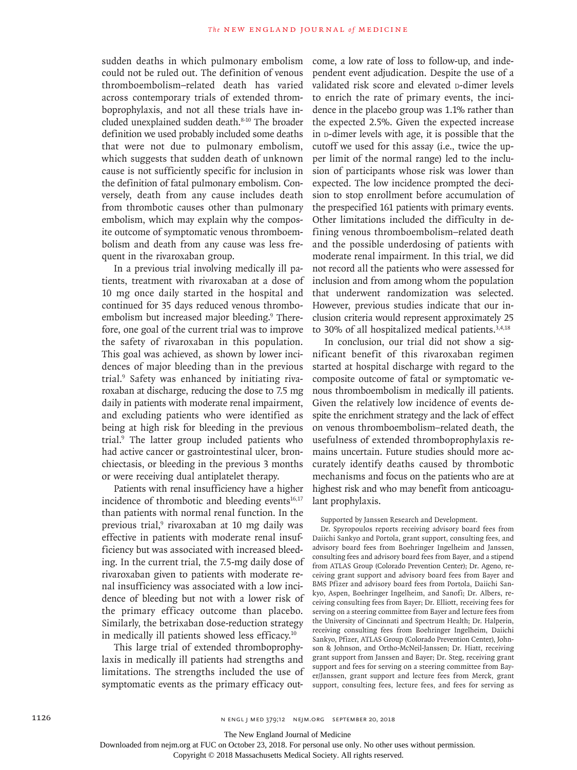sudden deaths in which pulmonary embolism could not be ruled out. The definition of venous thromboembolism–related death has varied across contemporary trials of extended thromboprophylaxis, and not all these trials have included unexplained sudden death.8-10 The broader definition we used probably included some deaths that were not due to pulmonary embolism, which suggests that sudden death of unknown cause is not sufficiently specific for inclusion in the definition of fatal pulmonary embolism. Conversely, death from any cause includes death from thrombotic causes other than pulmonary embolism, which may explain why the composite outcome of symptomatic venous thromboembolism and death from any cause was less frequent in the rivaroxaban group.

In a previous trial involving medically ill patients, treatment with rivaroxaban at a dose of 10 mg once daily started in the hospital and continued for 35 days reduced venous thromboembolism but increased major bleeding.<sup>9</sup> Therefore, one goal of the current trial was to improve the safety of rivaroxaban in this population. This goal was achieved, as shown by lower incidences of major bleeding than in the previous trial.9 Safety was enhanced by initiating rivaroxaban at discharge, reducing the dose to 7.5 mg daily in patients with moderate renal impairment, and excluding patients who were identified as being at high risk for bleeding in the previous trial.9 The latter group included patients who had active cancer or gastrointestinal ulcer, bronchiectasis, or bleeding in the previous 3 months or were receiving dual antiplatelet therapy.

Patients with renal insufficiency have a higher incidence of thrombotic and bleeding events $16,17$ than patients with normal renal function. In the previous trial,<sup>9</sup> rivaroxaban at 10 mg daily was effective in patients with moderate renal insufficiency but was associated with increased bleeding. In the current trial, the 7.5-mg daily dose of rivaroxaban given to patients with moderate renal insufficiency was associated with a low incidence of bleeding but not with a lower risk of the primary efficacy outcome than placebo. Similarly, the betrixaban dose-reduction strategy in medically ill patients showed less efficacy.10

This large trial of extended thromboprophylaxis in medically ill patients had strengths and limitations. The strengths included the use of symptomatic events as the primary efficacy outcome, a low rate of loss to follow-up, and independent event adjudication. Despite the use of a validated risk score and elevated p-dimer levels to enrich the rate of primary events, the incidence in the placebo group was 1.1% rather than the expected 2.5%. Given the expected increase in **D-dimer** levels with age, it is possible that the cutoff we used for this assay (i.e., twice the upper limit of the normal range) led to the inclusion of participants whose risk was lower than expected. The low incidence prompted the decision to stop enrollment before accumulation of the prespecified 161 patients with primary events. Other limitations included the difficulty in defining venous thromboembolism–related death and the possible underdosing of patients with moderate renal impairment. In this trial, we did not record all the patients who were assessed for inclusion and from among whom the population that underwent randomization was selected. However, previous studies indicate that our inclusion criteria would represent approximately 25 to 30% of all hospitalized medical patients.<sup>3,4,18</sup>

In conclusion, our trial did not show a significant benefit of this rivaroxaban regimen started at hospital discharge with regard to the composite outcome of fatal or symptomatic venous thromboembolism in medically ill patients. Given the relatively low incidence of events despite the enrichment strategy and the lack of effect on venous thromboembolism–related death, the usefulness of extended thromboprophylaxis remains uncertain. Future studies should more accurately identify deaths caused by thrombotic mechanisms and focus on the patients who are at highest risk and who may benefit from anticoagulant prophylaxis.

Supported by Janssen Research and Development.

Dr. Spyropoulos reports receiving advisory board fees from Daiichi Sankyo and Portola, grant support, consulting fees, and advisory board fees from Boehringer Ingelheim and Janssen, consulting fees and advisory board fees from Bayer, and a stipend from ATLAS Group (Colorado Prevention Center); Dr. Ageno, receiving grant support and advisory board fees from Bayer and BMS Pfizer and advisory board fees from Portola, Daiichi Sankyo, Aspen, Boehringer Ingelheim, and Sanofi; Dr. Albers, receiving consulting fees from Bayer; Dr. Elliott, receiving fees for serving on a steering committee from Bayer and lecture fees from the University of Cincinnati and Spectrum Health; Dr. Halperin, receiving consulting fees from Boehringer Ingelheim, Daiichi Sankyo, Pfizer, ATLAS Group (Colorado Prevention Center), Johnson & Johnson, and Ortho-McNeil-Janssen; Dr. Hiatt, receiving grant support from Janssen and Bayer; Dr. Steg, receiving grant support and fees for serving on a steering committee from Bayer/Janssen, grant support and lecture fees from Merck, grant support, consulting fees, lecture fees, and fees for serving as

The New England Journal of Medicine

Downloaded from nejm.org at FUC on October 23, 2018. For personal use only. No other uses without permission.